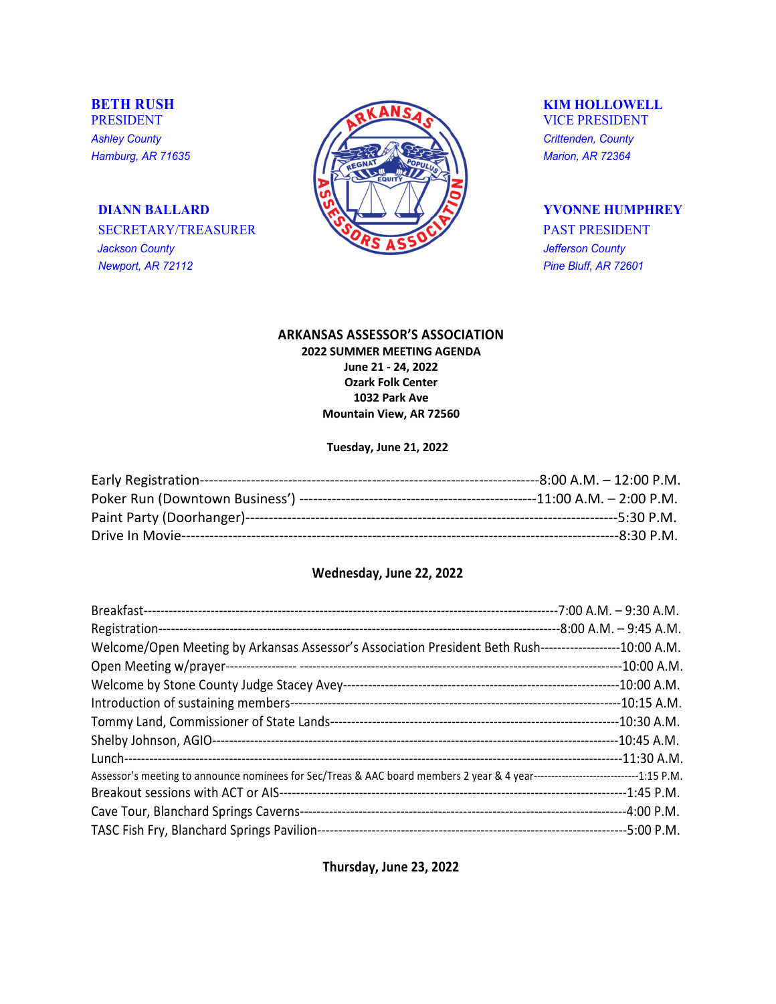*Newport, AR 72112 Pine Bluff, AR 72601*



### **ARKANSAS ASSESSOR'S ASSOCIATION**

**2022 SUMMER MEETING AGENDA June 21 - 24, 2022 Ozark Folk Center 1032 Park Ave Mountain View, AR 72560**

### **Tuesday, June 21, 2022**

| ----8:30 P.M. |
|---------------|

## **Wednesday, June 22, 2022**

|                                                                                                                                 | --7:00 A.M. - 9:30 A.M. |
|---------------------------------------------------------------------------------------------------------------------------------|-------------------------|
|                                                                                                                                 |                         |
| Welcome/Open Meeting by Arkansas Assessor's Association President Beth Rush-------------------10:00 A.M.                        |                         |
|                                                                                                                                 |                         |
|                                                                                                                                 |                         |
|                                                                                                                                 |                         |
|                                                                                                                                 |                         |
|                                                                                                                                 |                         |
|                                                                                                                                 |                         |
| Assessor's meeting to announce nominees for Sec/Treas & AAC board members 2 year & 4 year-----------------------------1:15 P.M. |                         |
|                                                                                                                                 |                         |
|                                                                                                                                 |                         |
|                                                                                                                                 |                         |

**Thursday, June 23, 2022**